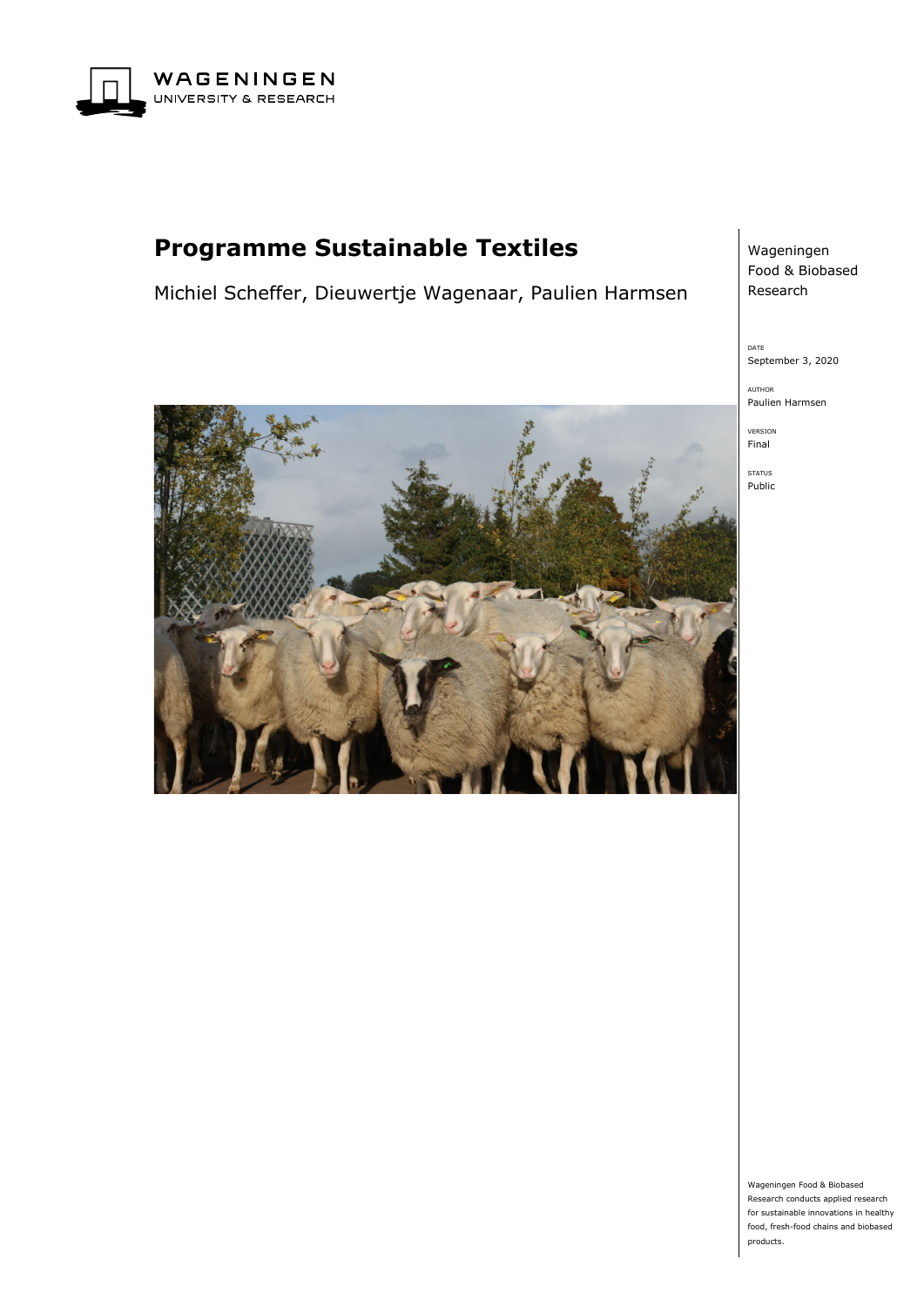

# **Programme Sustainable Textiles**

Michiel Scheffer, Dieuwertje Wagenaar, Paulien Harmsen

Wageningen Food & Biobased Research

DATE September 3, 2020

AUTHOR Paulien Harmsen

VERSION Final

STATUS Public

Wageningen Food & Biobased Research conducts applied research for sustainable innovations in healthy food, fresh-food chains and biobased products.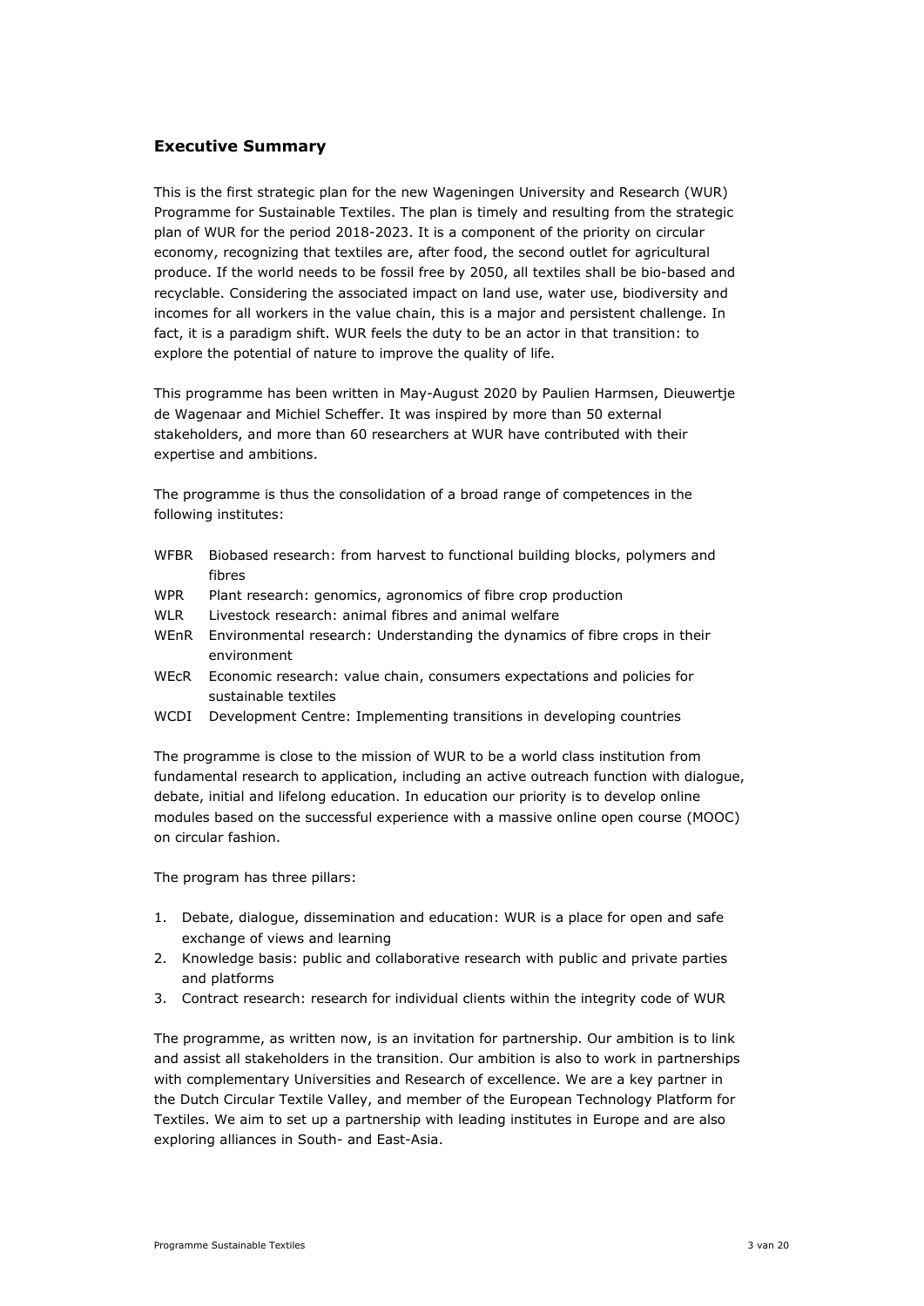## **Executive Summary**

This is the first strategic plan for the new Wageningen University and Research (WUR) Programme for Sustainable Textiles. The plan is timely and resulting from the strategic plan of WUR for the period 2018-2023. It is a component of the priority on circular economy, recognizing that textiles are, after food, the second outlet for agricultural produce. If the world needs to be fossil free by 2050, all textiles shall be bio-based and recyclable. Considering the associated impact on land use, water use, biodiversity and incomes for all workers in the value chain, this is a major and persistent challenge. In fact, it is a paradigm shift. WUR feels the duty to be an actor in that transition: to explore the potential of nature to improve the quality of life.

This programme has been written in May-August 2020 by Paulien Harmsen, Dieuwertje de Wagenaar and Michiel Scheffer. It was inspired by more than 50 external stakeholders, and more than 60 researchers at WUR have contributed with their expertise and ambitions.

The programme is thus the consolidation of a broad range of competences in the following institutes:

- WFBR Biobased research: from harvest to functional building blocks, polymers and fibres
- WPR Plant research: genomics, agronomics of fibre crop production
- WLR Livestock research: animal fibres and animal welfare
- WEnR Environmental research: Understanding the dynamics of fibre crops in their environment
- WEcR Economic research: value chain, consumers expectations and policies for sustainable textiles
- WCDI Development Centre: Implementing transitions in developing countries

The programme is close to the mission of WUR to be a world class institution from fundamental research to application, including an active outreach function with dialogue, debate, initial and lifelong education. In education our priority is to develop online modules based on the successful experience with a massive online open course (MOOC) on circular fashion.

The program has three pillars:

- 1. Debate, dialogue, dissemination and education: WUR is a place for open and safe exchange of views and learning
- 2. Knowledge basis: public and collaborative research with public and private parties and platforms
- 3. Contract research: research for individual clients within the integrity code of WUR

The programme, as written now, is an invitation for partnership. Our ambition is to link and assist all stakeholders in the transition. Our ambition is also to work in partnerships with complementary Universities and Research of excellence. We are a key partner in the Dutch Circular Textile Valley, and member of the European Technology Platform for Textiles. We aim to set up a partnership with leading institutes in Europe and are also exploring alliances in South- and East-Asia.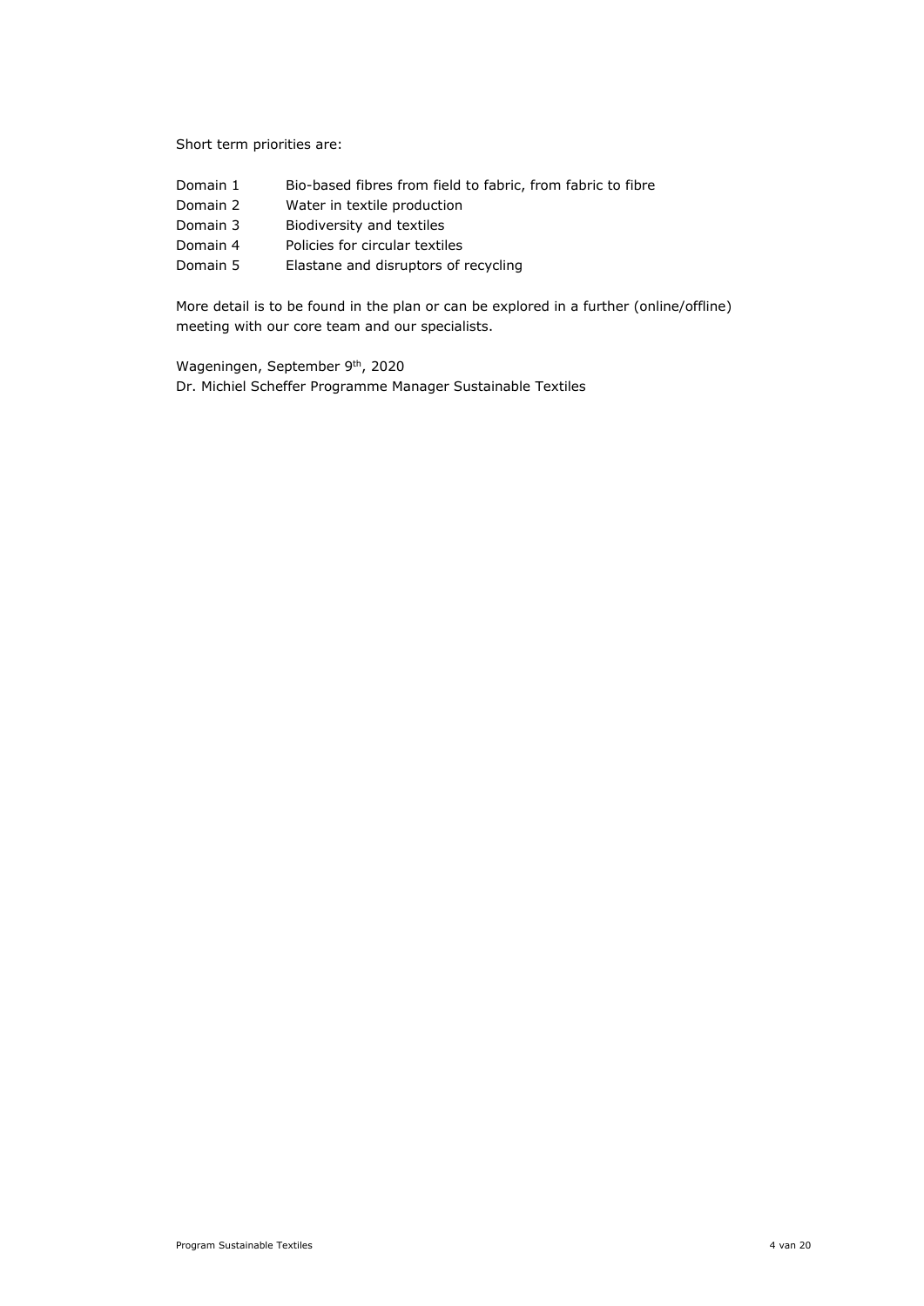Short term priorities are:

- Domain 1 Bio-based fibres from field to fabric, from fabric to fibre
- Domain 2 Water in textile production
- Domain 3 Biodiversity and textiles
- Domain 4 Policies for circular textiles
- Domain 5 Elastane and disruptors of recycling

More detail is to be found in the plan or can be explored in a further (online/offline) meeting with our core team and our specialists.

Wageningen, September 9th, 2020

Dr. Michiel Scheffer Programme Manager Sustainable Textiles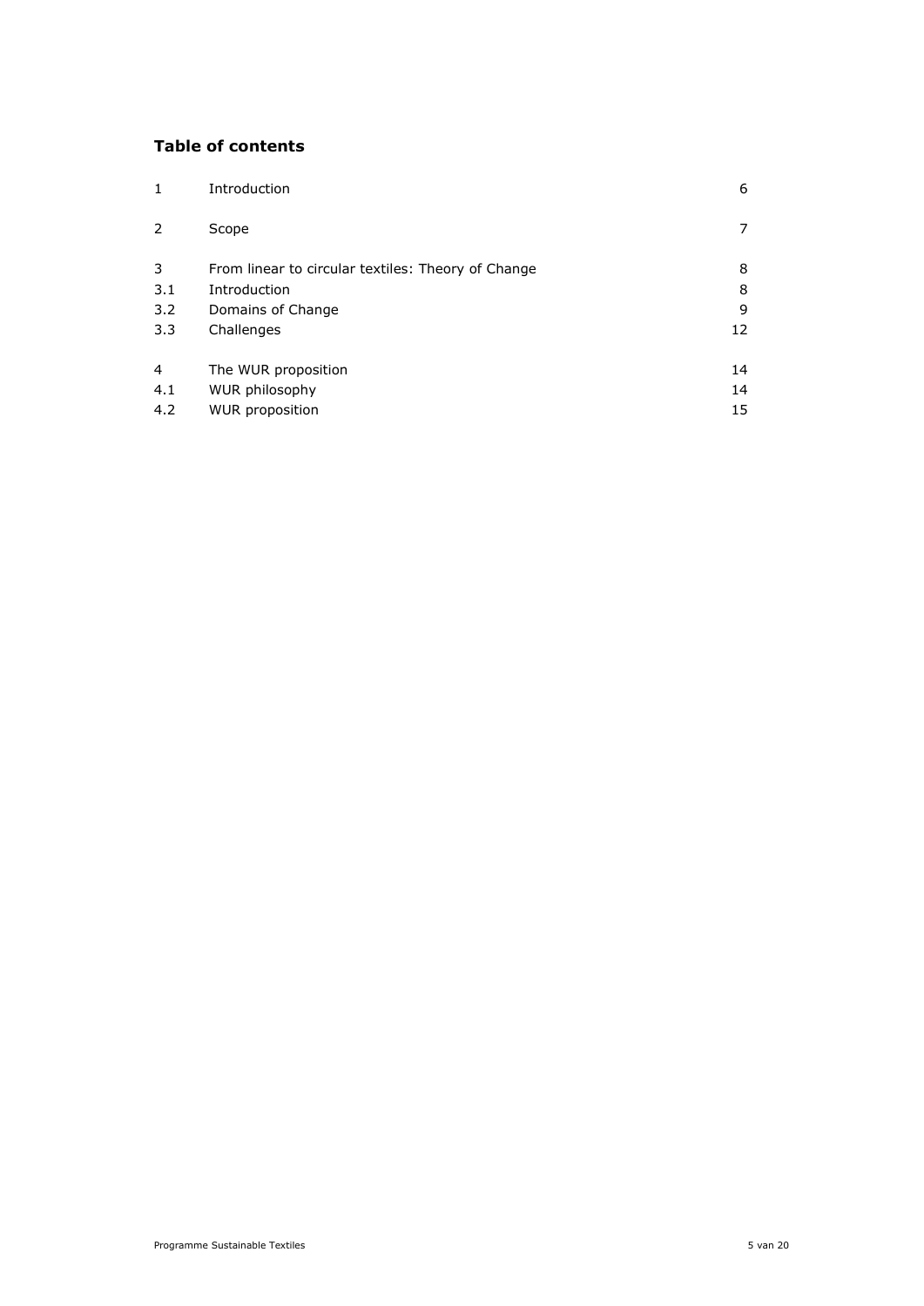# **Table of contents**

| 1   | Introduction                                       | 6  |
|-----|----------------------------------------------------|----|
| 2   | Scope                                              | 7  |
| 3   | From linear to circular textiles: Theory of Change | 8  |
| 3.1 | Introduction                                       | 8  |
| 3.2 | Domains of Change                                  | 9  |
| 3.3 | Challenges                                         | 12 |
| 4   | The WUR proposition                                | 14 |
| 4.1 | WUR philosophy                                     | 14 |
| 4.2 | <b>WUR</b> proposition                             | 15 |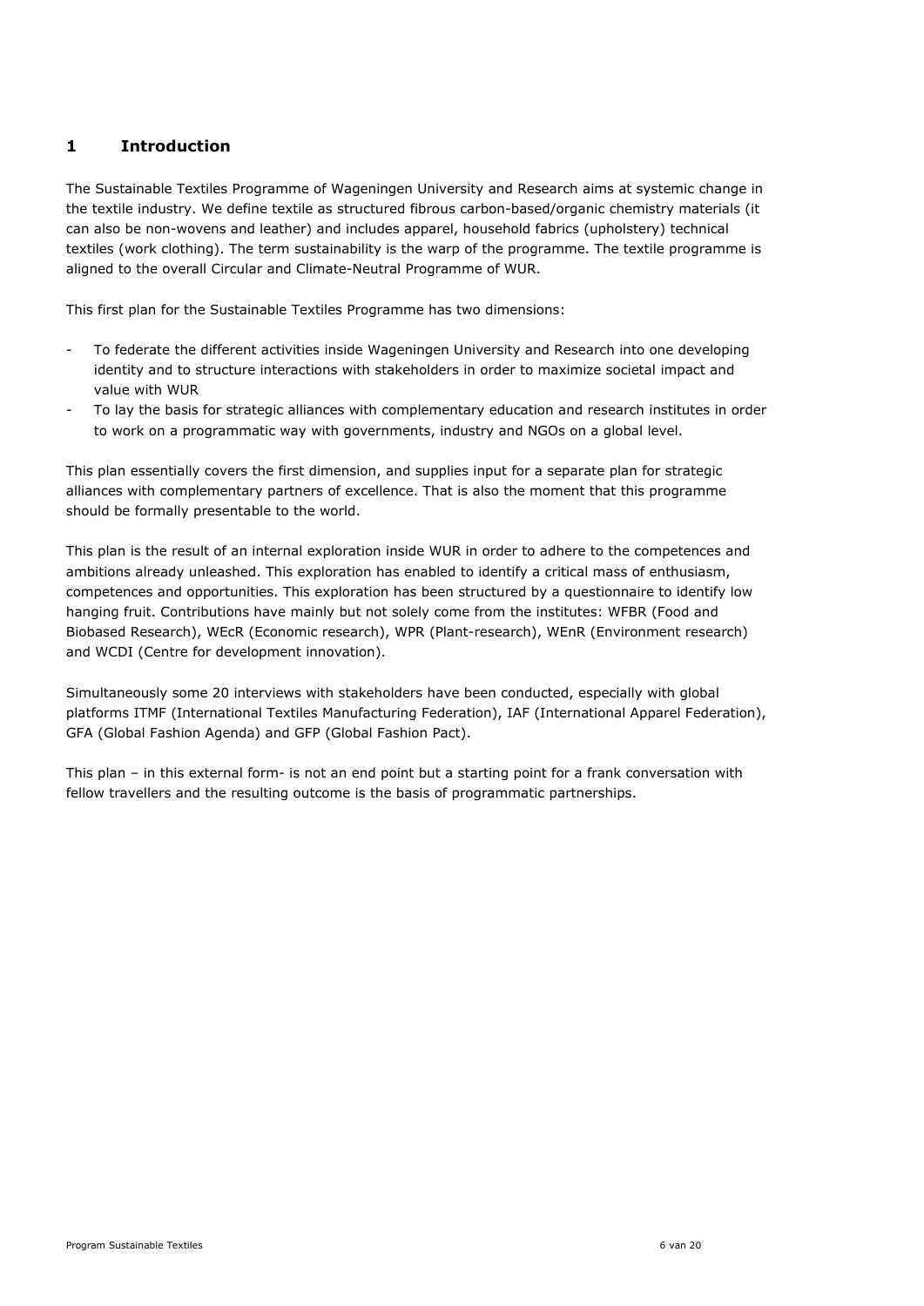# <span id="page-5-0"></span>**1 Introduction**

The Sustainable Textiles Programme of Wageningen University and Research aims at systemic change in the textile industry. We define textile as structured fibrous carbon-based/organic chemistry materials (it can also be non-wovens and leather) and includes apparel, household fabrics (upholstery) technical textiles (work clothing). The term sustainability is the warp of the programme. The textile programme is aligned to the overall Circular and Climate-Neutral Programme of WUR.

This first plan for the Sustainable Textiles Programme has two dimensions:

- To federate the different activities inside Wageningen University and Research into one developing identity and to structure interactions with stakeholders in order to maximize societal impact and value with WUR
- To lay the basis for strategic alliances with complementary education and research institutes in order to work on a programmatic way with governments, industry and NGOs on a global level.

This plan essentially covers the first dimension, and supplies input for a separate plan for strategic alliances with complementary partners of excellence. That is also the moment that this programme should be formally presentable to the world.

This plan is the result of an internal exploration inside WUR in order to adhere to the competences and ambitions already unleashed. This exploration has enabled to identify a critical mass of enthusiasm, competences and opportunities. This exploration has been structured by a questionnaire to identify low hanging fruit. Contributions have mainly but not solely come from the institutes: WFBR (Food and Biobased Research), WEcR (Economic research), WPR (Plant-research), WEnR (Environment research) and WCDI (Centre for development innovation).

Simultaneously some 20 interviews with stakeholders have been conducted, especially with global platforms ITMF (International Textiles Manufacturing Federation), IAF (International Apparel Federation), GFA (Global Fashion Agenda) and GFP (Global Fashion Pact).

This plan – in this external form- is not an end point but a starting point for a frank conversation with fellow travellers and the resulting outcome is the basis of programmatic partnerships.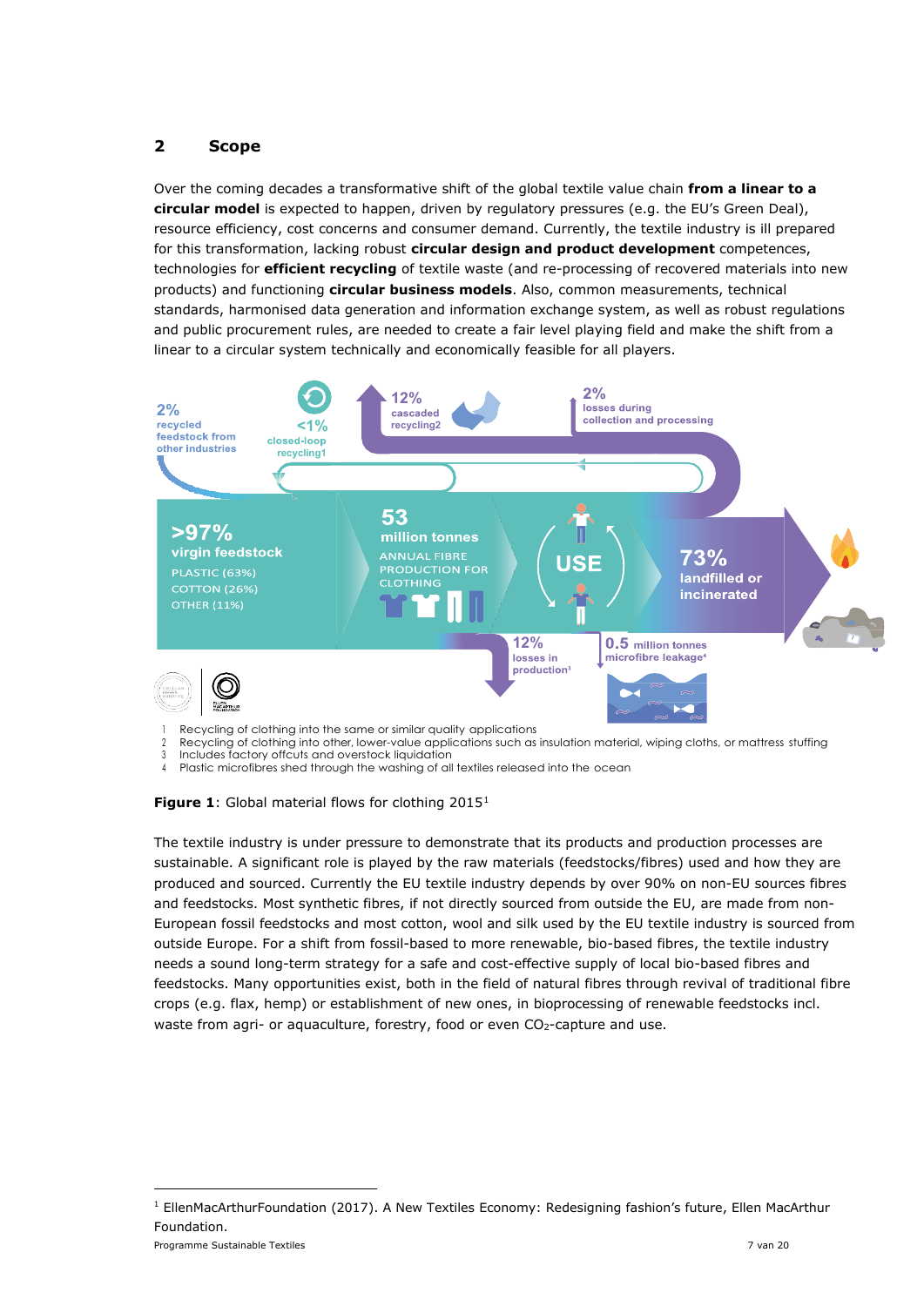# <span id="page-6-0"></span>**2 Scope**

Over the coming decades a transformative shift of the global textile value chain **from a linear to a circular model** is expected to happen, driven by regulatory pressures (e.g. the EU's Green Deal), resource efficiency, cost concerns and consumer demand. Currently, the textile industry is ill prepared for this transformation, lacking robust **circular design and product development** competences, technologies for **efficient recycling** of textile waste (and re-processing of recovered materials into new products) and functioning **circular business models**. Also, common measurements, technical standards, harmonised data generation and information exchange system, as well as robust regulations and public procurement rules, are needed to create a fair level playing field and make the shift from a linear to a circular system technically and economically feasible for all players.



- 1 Recycling of clothing into the same or similar quality applications<br>2 Recycling of clothing into other lower-value applications such as
- Recycling of clothing into other, lower-value applications such as insulation material, wiping cloths, or mattress stuffing
- 3 Includes factory offcuts and overstock liquidation<br>4 Plastic microfibres shed through the washing of all Plastic microfibres shed through the washing of all textiles released into the ocean

#### Figure [1](#page-6-1): Global material flows for clothing 2015<sup>1</sup>

The textile industry is under pressure to demonstrate that its products and production processes are sustainable. A significant role is played by the raw materials (feedstocks/fibres) used and how they are produced and sourced. Currently the EU textile industry depends by over 90% on non-EU sources fibres and feedstocks. Most synthetic fibres, if not directly sourced from outside the EU, are made from non-European fossil feedstocks and most cotton, wool and silk used by the EU textile industry is sourced from outside Europe. For a shift from fossil-based to more renewable, bio-based fibres, the textile industry needs a sound long-term strategy for a safe and cost-effective supply of local bio-based fibres and feedstocks. Many opportunities exist, both in the field of natural fibres through revival of traditional fibre crops (e.g. flax, hemp) or establishment of new ones, in bioprocessing of renewable feedstocks incl. waste from agri- or aquaculture, forestry, food or even  $CO<sub>2</sub>$ -capture and use.

<span id="page-6-1"></span>Programme Sustainable Textiles 7 van 20 <sup>1</sup> EllenMacArthurFoundation (2017). A New Textiles Economy: Redesigning fashion's future, Ellen MacArthur Foundation.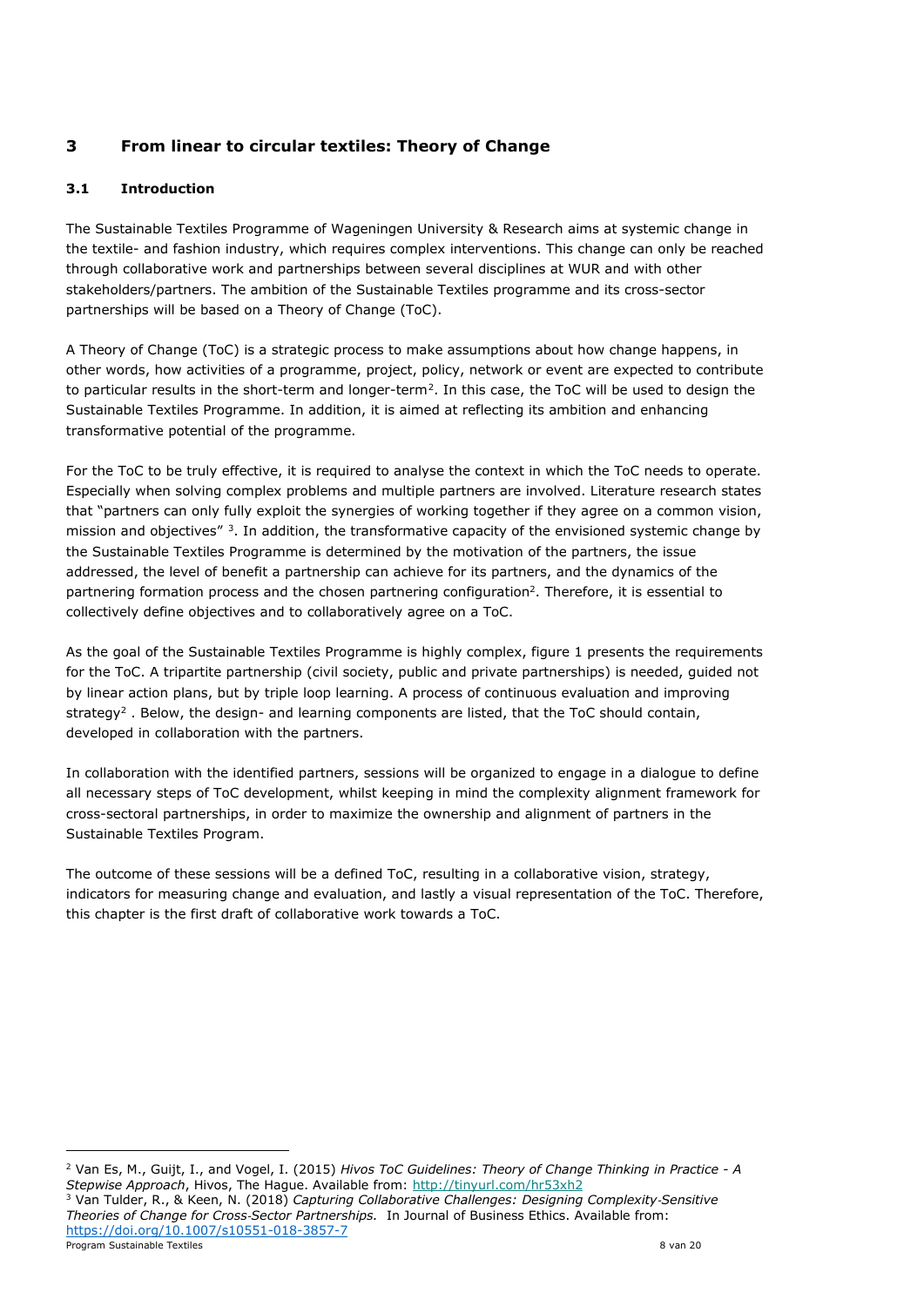# <span id="page-7-0"></span>**3 From linear to circular textiles: Theory of Change**

## <span id="page-7-1"></span>**3.1 Introduction**

The Sustainable Textiles Programme of Wageningen University & Research aims at systemic change in the textile- and fashion industry, which requires complex interventions. This change can only be reached through collaborative work and partnerships between several disciplines at WUR and with other stakeholders/partners. The ambition of the Sustainable Textiles programme and its cross-sector partnerships will be based on a Theory of Change (ToC).

A Theory of Change (ToC) is a strategic process to make assumptions about how change happens, in other words, how activities of a programme, project, policy, network or event are expected to contribute to particular results in the short-term and longer-term<sup>2</sup>. In this case, the ToC will be used to design the Sustainable Textiles Programme. In addition, it is aimed at reflecting its ambition and enhancing transformative potential of the programme.

For the ToC to be truly effective, it is required to analyse the context in which the ToC needs to operate. Especially when solving complex problems and multiple partners are involved. Literature research states that "partners can only fully exploit the synergies of working together if they agree on a common vision, mission and objectives" [3.](#page-7-3) In addition, the transformative capacity of the envisioned systemic change by the Sustainable Textiles Programme is determined by the motivation of the partners, the issue addressed, the level of benefit a partnership can achieve for its partners, and the dynamics of the partnering formation process and the chosen partnering configuration<sup>2</sup>. Therefore, it is essential to collectively define objectives and to collaboratively agree on a ToC.

As the goal of the Sustainable Textiles Programme is highly complex, figure 1 presents the requirements for the ToC. A tripartite partnership (civil society, public and private partnerships) is needed, guided not by linear action plans, but by triple loop learning. A process of continuous evaluation and improving strategy<sup>2</sup>. Below, the design- and learning components are listed, that the ToC should contain, developed in collaboration with the partners.

In collaboration with the identified partners, sessions will be organized to engage in a dialogue to define all necessary steps of ToC development, whilst keeping in mind the complexity alignment framework for cross-sectoral partnerships, in order to maximize the ownership and alignment of partners in the Sustainable Textiles Program.

The outcome of these sessions will be a defined ToC, resulting in a collaborative vision, strategy, indicators for measuring change and evaluation, and lastly a visual representation of the ToC. Therefore, this chapter is the first draft of collaborative work towards a ToC.

<span id="page-7-3"></span><span id="page-7-2"></span>Program Sustainable Textiles 8 van 20 augustus 198 van 20 augustus 198 van 20 augustus 198 van 20 augustus 198 van 20 augustus 198 van 20 augustus 198 van 20 augustus 198 van 20 augustus 198 van 20 augustus 198 van 20 augu <sup>2</sup> Van Es, M., Guijt, I., and Vogel, I. (2015) *Hivos ToC Guidelines: Theory of Change Thinking in Practice - A Stepwise Approach, Hivos, The Hague. Available from: http://tinyurl.com/hr53xh2 Stepwise Approach*, Hivos, The Hague. Available from[: http://tinyurl.com/hr53xh2](http://tinyurl.com/hr53xh2) 3 Van Tulder, R., & Keen, N. (2018) *Capturing Collaborative Challenges: Designing Complexity*‑*Sensitive Theories of Change for Cross*‑*Sector Partnerships.* In Journal of Business Ethics. Available from: <https://doi.org/10.1007/s10551-018-3857-7>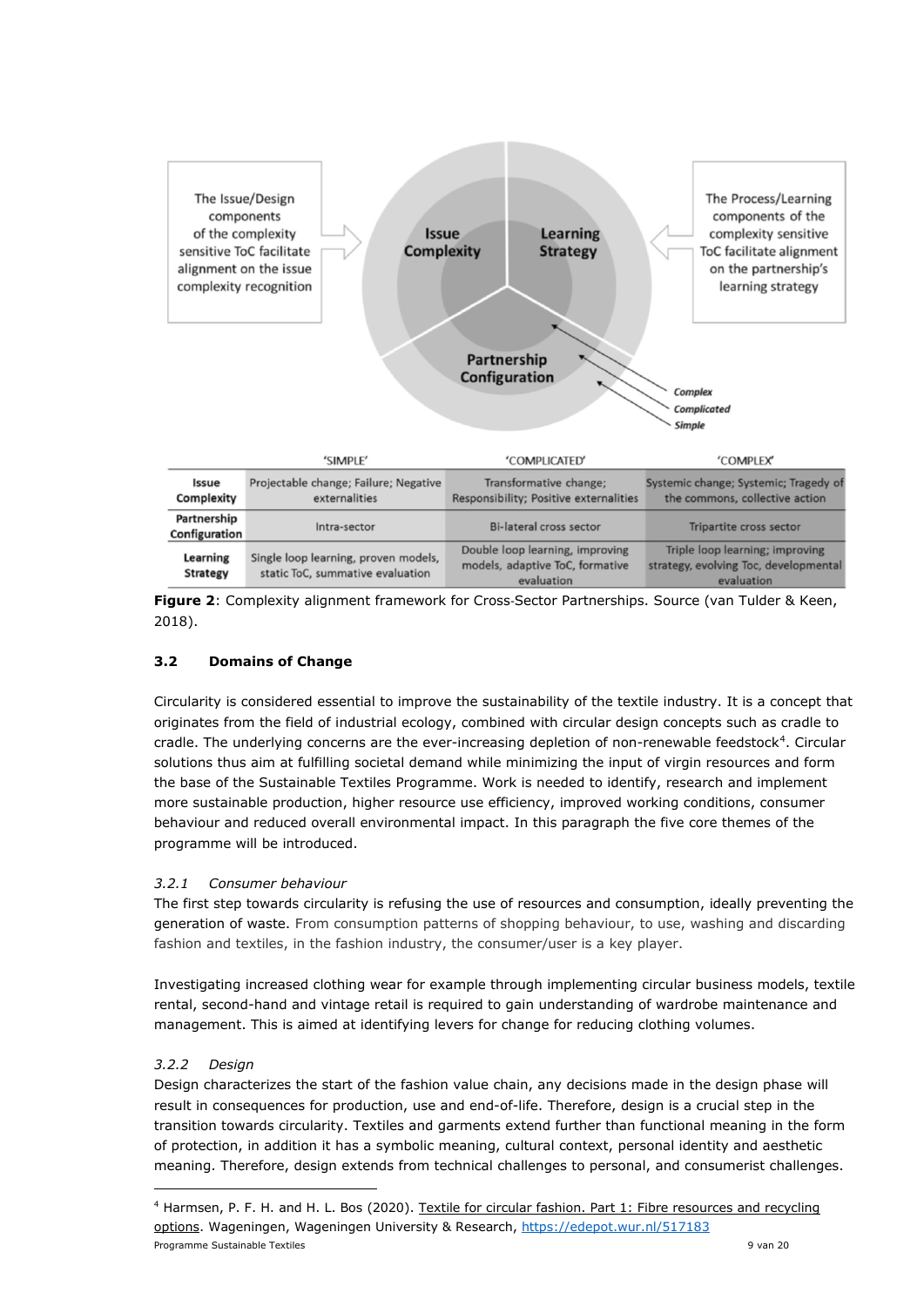

**Figure 2**: Complexity alignment framework for Cross‑Sector Partnerships. Source (van Tulder & Keen, 2018).

# <span id="page-8-0"></span>**3.2 Domains of Change**

Circularity is considered essential to improve the sustainability of the textile industry. It is a concept that originates from the field of industrial ecology, combined with circular design concepts such as cradle to cradle. The underlying concerns are the ever-increasing depletion of non-renewable feedstock<sup>[4](#page-8-1)</sup>. Circular solutions thus aim at fulfilling societal demand while minimizing the input of virgin resources and form the base of the Sustainable Textiles Programme. Work is needed to identify, research and implement more sustainable production, higher resource use efficiency, improved working conditions, consumer behaviour and reduced overall environmental impact. In this paragraph the five core themes of the programme will be introduced.

## *3.2.1 Consumer behaviour*

The first step towards circularity is refusing the use of resources and consumption, ideally preventing the generation of waste. From consumption patterns of shopping behaviour, to use, washing and discarding fashion and textiles, in the fashion industry, the consumer/user is a key player.

Investigating increased clothing wear for example through implementing circular business models, textile rental, second-hand and vintage retail is required to gain understanding of wardrobe maintenance and management. This is aimed at identifying levers for change for reducing clothing volumes.

## *3.2.2 Design*

Design characterizes the start of the fashion value chain, any decisions made in the design phase will result in consequences for production, use and end-of-life. Therefore, design is a crucial step in the transition towards circularity. Textiles and garments extend further than functional meaning in the form of protection, in addition it has a symbolic meaning, cultural context, personal identity and aesthetic meaning. Therefore, design extends from technical challenges to personal, and consumerist challenges.

<span id="page-8-1"></span>Programme Sustainable Textiles 9 van 20 <sup>4</sup> Harmsen, P. F. H. and H. L. Bos (2020). Textile for circular fashion. Part 1: Fibre resources and recycling options. Wageningen, Wageningen University & Research, <https://edepot.wur.nl/517183>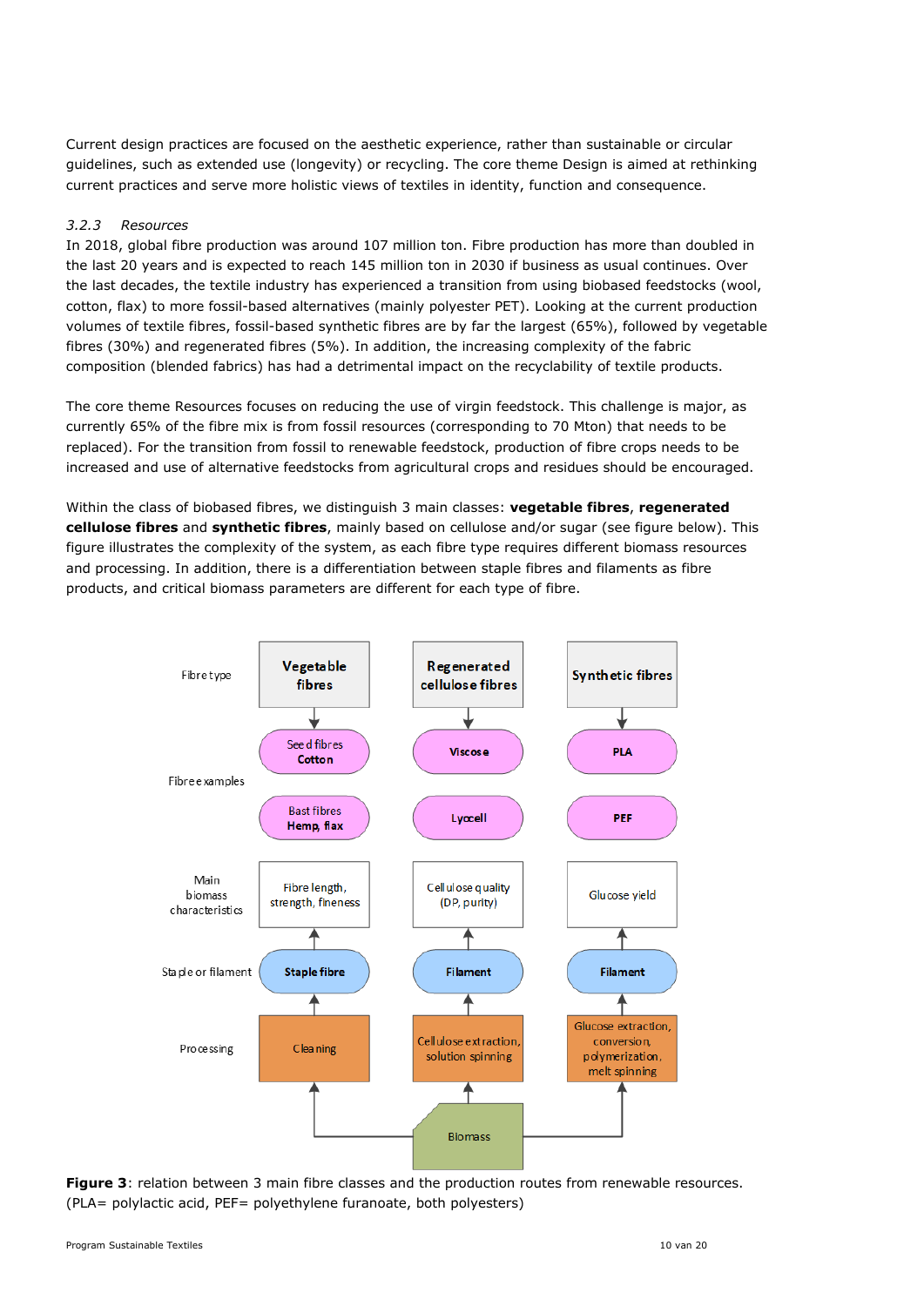Current design practices are focused on the aesthetic experience, rather than sustainable or circular guidelines, such as extended use (longevity) or recycling. The core theme Design is aimed at rethinking current practices and serve more holistic views of textiles in identity, function and consequence.

## *3.2.3 Resources*

In 2018, global fibre production was around 107 million ton. Fibre production has more than doubled in the last 20 years and is expected to reach 145 million ton in 2030 if business as usual continues. Over the last decades, the textile industry has experienced a transition from using biobased feedstocks (wool, cotton, flax) to more fossil-based alternatives (mainly polyester PET). Looking at the current production volumes of textile fibres, fossil-based synthetic fibres are by far the largest (65%), followed by vegetable fibres (30%) and regenerated fibres (5%). In addition, the increasing complexity of the fabric composition (blended fabrics) has had a detrimental impact on the recyclability of textile products.

The core theme Resources focuses on reducing the use of virgin feedstock. This challenge is major, as currently 65% of the fibre mix is from fossil resources (corresponding to 70 Mton) that needs to be replaced). For the transition from fossil to renewable feedstock, production of fibre crops needs to be increased and use of alternative feedstocks from agricultural crops and residues should be encouraged.

Within the class of biobased fibres, we distinguish 3 main classes: **vegetable fibres**, **regenerated cellulose fibres** and **synthetic fibres**, mainly based on cellulose and/or sugar (see figure below). This figure illustrates the complexity of the system, as each fibre type requires different biomass resources and processing. In addition, there is a differentiation between staple fibres and filaments as fibre products, and critical biomass parameters are different for each type of fibre.



**Figure 3**: relation between 3 main fibre classes and the production routes from renewable resources. (PLA= polylactic acid, PEF= polyethylene furanoate, both polyesters)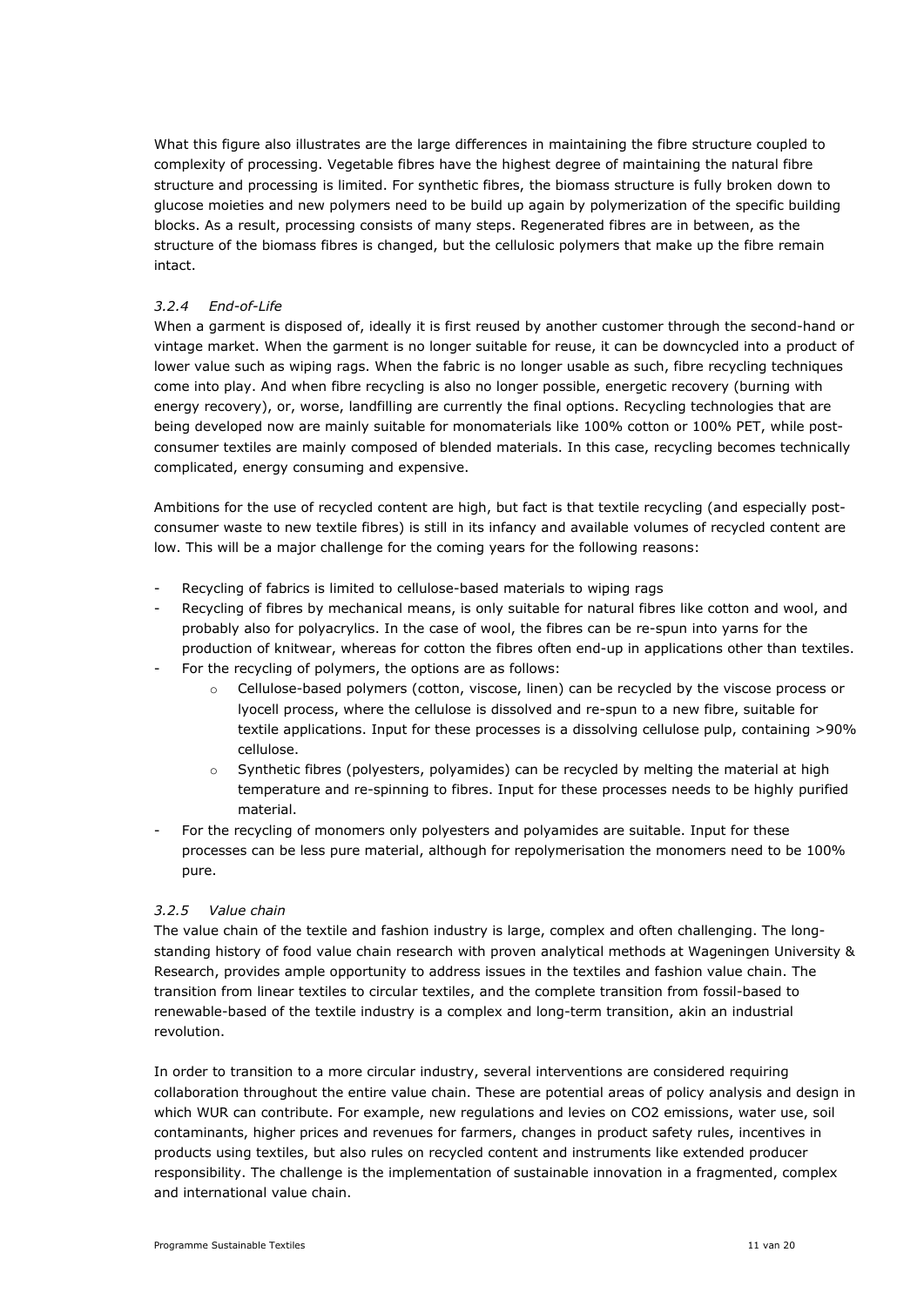What this figure also illustrates are the large differences in maintaining the fibre structure coupled to complexity of processing. Vegetable fibres have the highest degree of maintaining the natural fibre structure and processing is limited. For synthetic fibres, the biomass structure is fully broken down to glucose moieties and new polymers need to be build up again by polymerization of the specific building blocks. As a result, processing consists of many steps. Regenerated fibres are in between, as the structure of the biomass fibres is changed, but the cellulosic polymers that make up the fibre remain intact.

## *3.2.4 End-of-Life*

When a garment is disposed of, ideally it is first reused by another customer through the second-hand or vintage market. When the garment is no longer suitable for reuse, it can be downcycled into a product of lower value such as wiping rags. When the fabric is no longer usable as such, fibre recycling techniques come into play. And when fibre recycling is also no longer possible, energetic recovery (burning with energy recovery), or, worse, landfilling are currently the final options. Recycling technologies that are being developed now are mainly suitable for monomaterials like 100% cotton or 100% PET, while postconsumer textiles are mainly composed of blended materials. In this case, recycling becomes technically complicated, energy consuming and expensive.

Ambitions for the use of recycled content are high, but fact is that textile recycling (and especially postconsumer waste to new textile fibres) is still in its infancy and available volumes of recycled content are low. This will be a major challenge for the coming years for the following reasons:

- Recycling of fabrics is limited to cellulose-based materials to wiping rags
- Recycling of fibres by mechanical means, is only suitable for natural fibres like cotton and wool, and probably also for polyacrylics. In the case of wool, the fibres can be re-spun into yarns for the production of knitwear, whereas for cotton the fibres often end-up in applications other than textiles.
- For the recycling of polymers, the options are as follows:
	- o Cellulose-based polymers (cotton, viscose, linen) can be recycled by the viscose process or lyocell process, where the cellulose is dissolved and re-spun to a new fibre, suitable for textile applications. Input for these processes is a dissolving cellulose pulp, containing >90% cellulose.
	- Synthetic fibres (polyesters, polyamides) can be recycled by melting the material at high temperature and re-spinning to fibres. Input for these processes needs to be highly purified material.
- For the recycling of monomers only polyesters and polyamides are suitable. Input for these processes can be less pure material, although for repolymerisation the monomers need to be 100% pure.

## *3.2.5 Value chain*

The value chain of the textile and fashion industry is large, complex and often challenging. The longstanding history of food value chain research with proven analytical methods at Wageningen University & Research, provides ample opportunity to address issues in the textiles and fashion value chain. The transition from linear textiles to circular textiles, and the complete transition from fossil-based to renewable-based of the textile industry is a complex and long-term transition, akin an industrial revolution.

In order to transition to a more circular industry, several interventions are considered requiring collaboration throughout the entire value chain. These are potential areas of policy analysis and design in which WUR can contribute. For example, new regulations and levies on CO2 emissions, water use, soil contaminants, higher prices and revenues for farmers, changes in product safety rules, incentives in products using textiles, but also rules on recycled content and instruments like extended producer responsibility. The challenge is the implementation of sustainable innovation in a fragmented, complex and international value chain.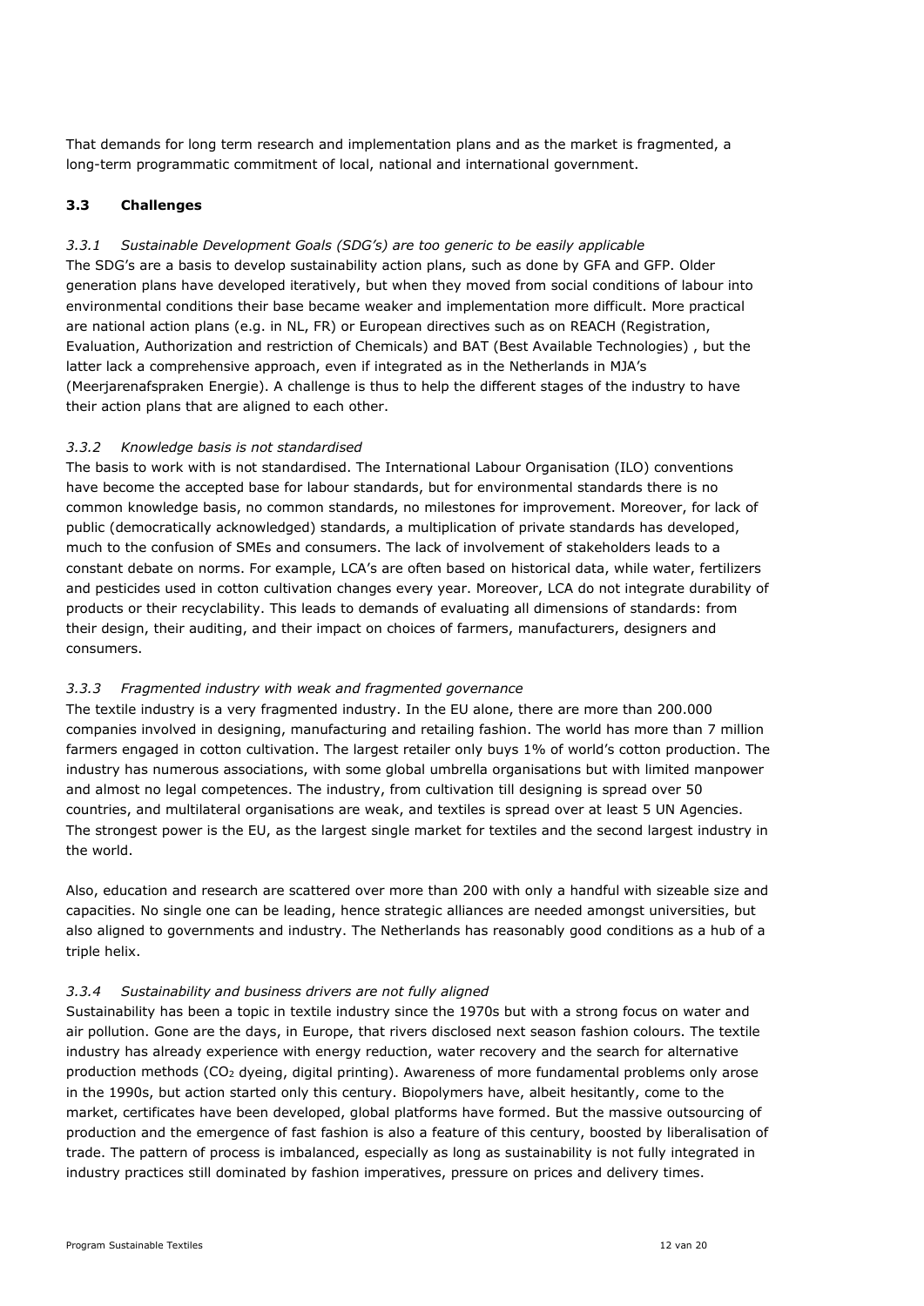That demands for long term research and implementation plans and as the market is fragmented, a long-term programmatic commitment of local, national and international government.

## <span id="page-11-0"></span>**3.3 Challenges**

*3.3.1 Sustainable Development Goals (SDG's) are too generic to be easily applicable*

The SDG's are a basis to develop sustainability action plans, such as done by GFA and GFP. Older generation plans have developed iteratively, but when they moved from social conditions of labour into environmental conditions their base became weaker and implementation more difficult. More practical are national action plans (e.g. in NL, FR) or European directives such as on REACH (Registration, Evaluation, Authorization and restriction of Chemicals) and BAT (Best Available Technologies) , but the latter lack a comprehensive approach, even if integrated as in the Netherlands in MJA's (Meerjarenafspraken Energie). A challenge is thus to help the different stages of the industry to have their action plans that are aligned to each other.

## *3.3.2 Knowledge basis is not standardised*

The basis to work with is not standardised. The International Labour Organisation (ILO) conventions have become the accepted base for labour standards, but for environmental standards there is no common knowledge basis, no common standards, no milestones for improvement. Moreover, for lack of public (democratically acknowledged) standards, a multiplication of private standards has developed, much to the confusion of SMEs and consumers. The lack of involvement of stakeholders leads to a constant debate on norms. For example, LCA's are often based on historical data, while water, fertilizers and pesticides used in cotton cultivation changes every year. Moreover, LCA do not integrate durability of products or their recyclability. This leads to demands of evaluating all dimensions of standards: from their design, their auditing, and their impact on choices of farmers, manufacturers, designers and consumers.

## *3.3.3 Fragmented industry with weak and fragmented governance*

The textile industry is a very fragmented industry. In the EU alone, there are more than 200.000 companies involved in designing, manufacturing and retailing fashion. The world has more than 7 million farmers engaged in cotton cultivation. The largest retailer only buys 1% of world's cotton production. The industry has numerous associations, with some global umbrella organisations but with limited manpower and almost no legal competences. The industry, from cultivation till designing is spread over 50 countries, and multilateral organisations are weak, and textiles is spread over at least 5 UN Agencies. The strongest power is the EU, as the largest single market for textiles and the second largest industry in the world.

Also, education and research are scattered over more than 200 with only a handful with sizeable size and capacities. No single one can be leading, hence strategic alliances are needed amongst universities, but also aligned to governments and industry. The Netherlands has reasonably good conditions as a hub of a triple helix.

## *3.3.4 Sustainability and business drivers are not fully aligned*

Sustainability has been a topic in textile industry since the 1970s but with a strong focus on water and air pollution. Gone are the days, in Europe, that rivers disclosed next season fashion colours. The textile industry has already experience with energy reduction, water recovery and the search for alternative production methods (CO<sub>2</sub> dyeing, digital printing). Awareness of more fundamental problems only arose in the 1990s, but action started only this century. Biopolymers have, albeit hesitantly, come to the market, certificates have been developed, global platforms have formed. But the massive outsourcing of production and the emergence of fast fashion is also a feature of this century, boosted by liberalisation of trade. The pattern of process is imbalanced, especially as long as sustainability is not fully integrated in industry practices still dominated by fashion imperatives, pressure on prices and delivery times.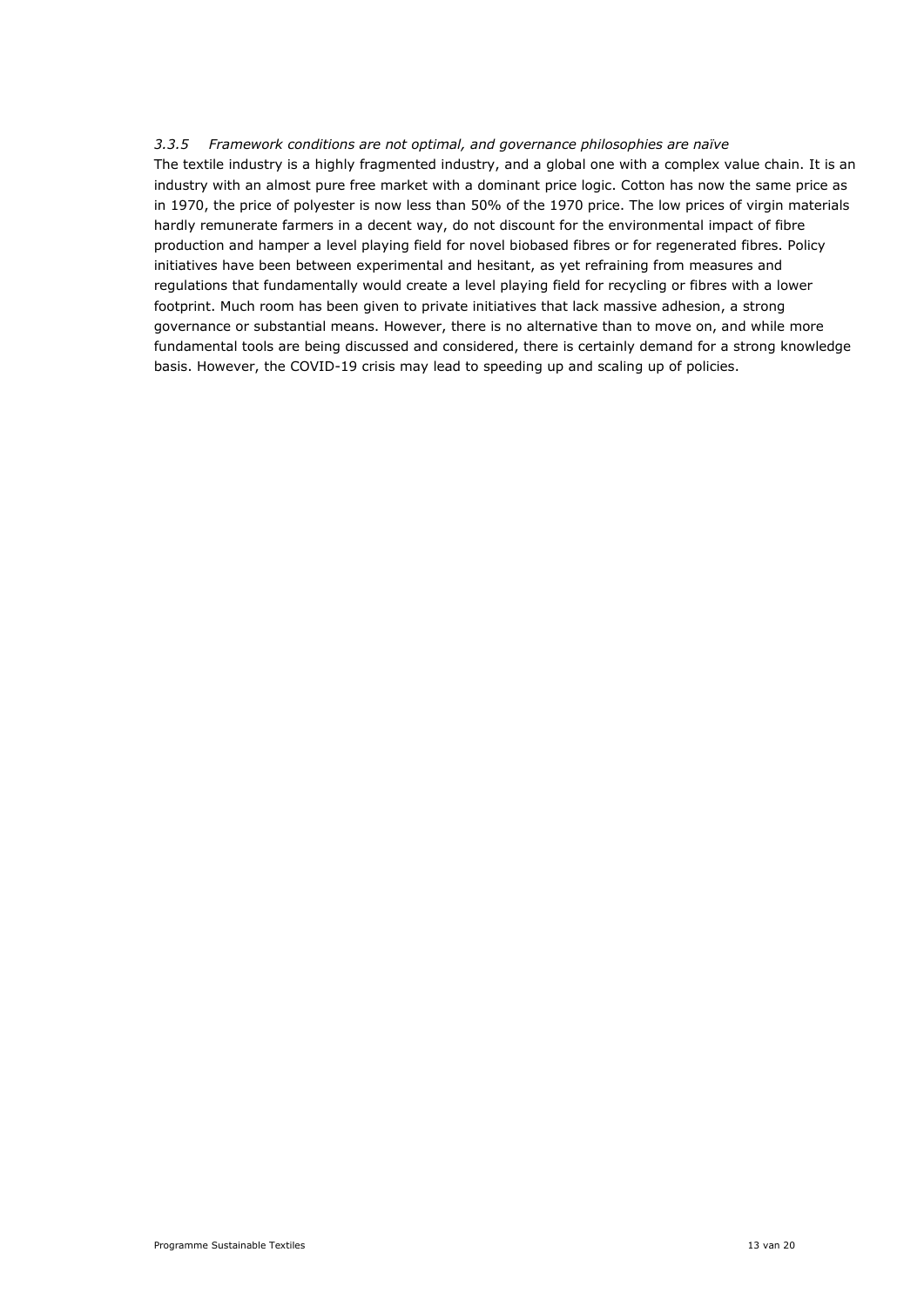## *3.3.5 Framework conditions are not optimal, and governance philosophies are naïve*

The textile industry is a highly fragmented industry, and a global one with a complex value chain. It is an industry with an almost pure free market with a dominant price logic. Cotton has now the same price as in 1970, the price of polyester is now less than 50% of the 1970 price. The low prices of virgin materials hardly remunerate farmers in a decent way, do not discount for the environmental impact of fibre production and hamper a level playing field for novel biobased fibres or for regenerated fibres. Policy initiatives have been between experimental and hesitant, as yet refraining from measures and regulations that fundamentally would create a level playing field for recycling or fibres with a lower footprint. Much room has been given to private initiatives that lack massive adhesion, a strong governance or substantial means. However, there is no alternative than to move on, and while more fundamental tools are being discussed and considered, there is certainly demand for a strong knowledge basis. However, the COVID-19 crisis may lead to speeding up and scaling up of policies.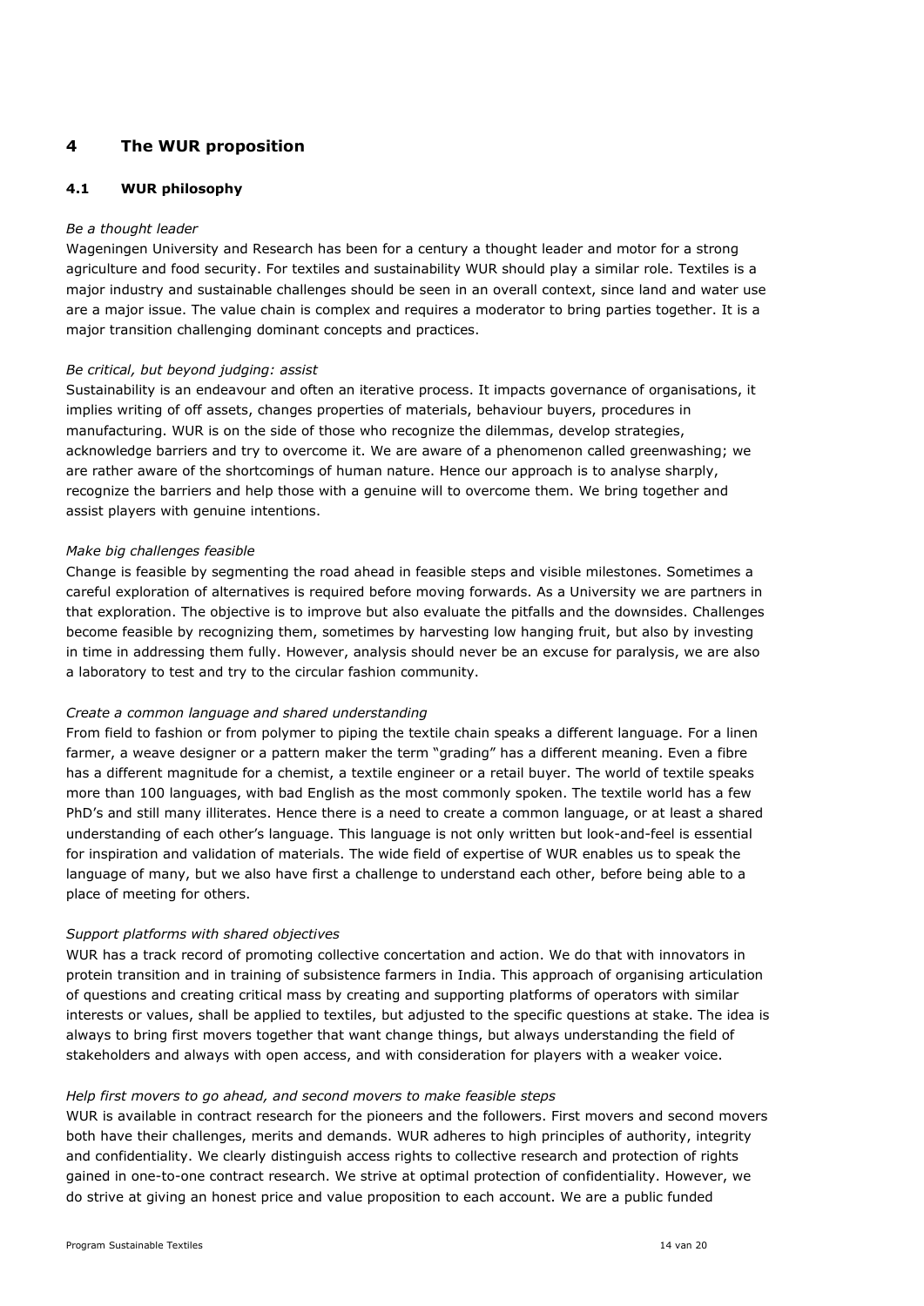# <span id="page-13-0"></span>**4 The WUR proposition**

## <span id="page-13-1"></span>**4.1 WUR philosophy**

#### *Be a thought leader*

Wageningen University and Research has been for a century a thought leader and motor for a strong agriculture and food security. For textiles and sustainability WUR should play a similar role. Textiles is a major industry and sustainable challenges should be seen in an overall context, since land and water use are a major issue. The value chain is complex and requires a moderator to bring parties together. It is a major transition challenging dominant concepts and practices.

#### *Be critical, but beyond judging: assist*

Sustainability is an endeavour and often an iterative process. It impacts governance of organisations, it implies writing of off assets, changes properties of materials, behaviour buyers, procedures in manufacturing. WUR is on the side of those who recognize the dilemmas, develop strategies, acknowledge barriers and try to overcome it. We are aware of a phenomenon called greenwashing; we are rather aware of the shortcomings of human nature. Hence our approach is to analyse sharply, recognize the barriers and help those with a genuine will to overcome them. We bring together and assist players with genuine intentions.

#### *Make big challenges feasible*

Change is feasible by segmenting the road ahead in feasible steps and visible milestones. Sometimes a careful exploration of alternatives is required before moving forwards. As a University we are partners in that exploration. The objective is to improve but also evaluate the pitfalls and the downsides. Challenges become feasible by recognizing them, sometimes by harvesting low hanging fruit, but also by investing in time in addressing them fully. However, analysis should never be an excuse for paralysis, we are also a laboratory to test and try to the circular fashion community.

#### *Create a common language and shared understanding*

From field to fashion or from polymer to piping the textile chain speaks a different language. For a linen farmer, a weave designer or a pattern maker the term "grading" has a different meaning. Even a fibre has a different magnitude for a chemist, a textile engineer or a retail buyer. The world of textile speaks more than 100 languages, with bad English as the most commonly spoken. The textile world has a few PhD's and still many illiterates. Hence there is a need to create a common language, or at least a shared understanding of each other's language. This language is not only written but look-and-feel is essential for inspiration and validation of materials. The wide field of expertise of WUR enables us to speak the language of many, but we also have first a challenge to understand each other, before being able to a place of meeting for others.

#### *Support platforms with shared objectives*

WUR has a track record of promoting collective concertation and action. We do that with innovators in protein transition and in training of subsistence farmers in India. This approach of organising articulation of questions and creating critical mass by creating and supporting platforms of operators with similar interests or values, shall be applied to textiles, but adjusted to the specific questions at stake. The idea is always to bring first movers together that want change things, but always understanding the field of stakeholders and always with open access, and with consideration for players with a weaker voice.

#### *Help first movers to go ahead, and second movers to make feasible steps*

WUR is available in contract research for the pioneers and the followers. First movers and second movers both have their challenges, merits and demands. WUR adheres to high principles of authority, integrity and confidentiality. We clearly distinguish access rights to collective research and protection of rights gained in one-to-one contract research. We strive at optimal protection of confidentiality. However, we do strive at giving an honest price and value proposition to each account. We are a public funded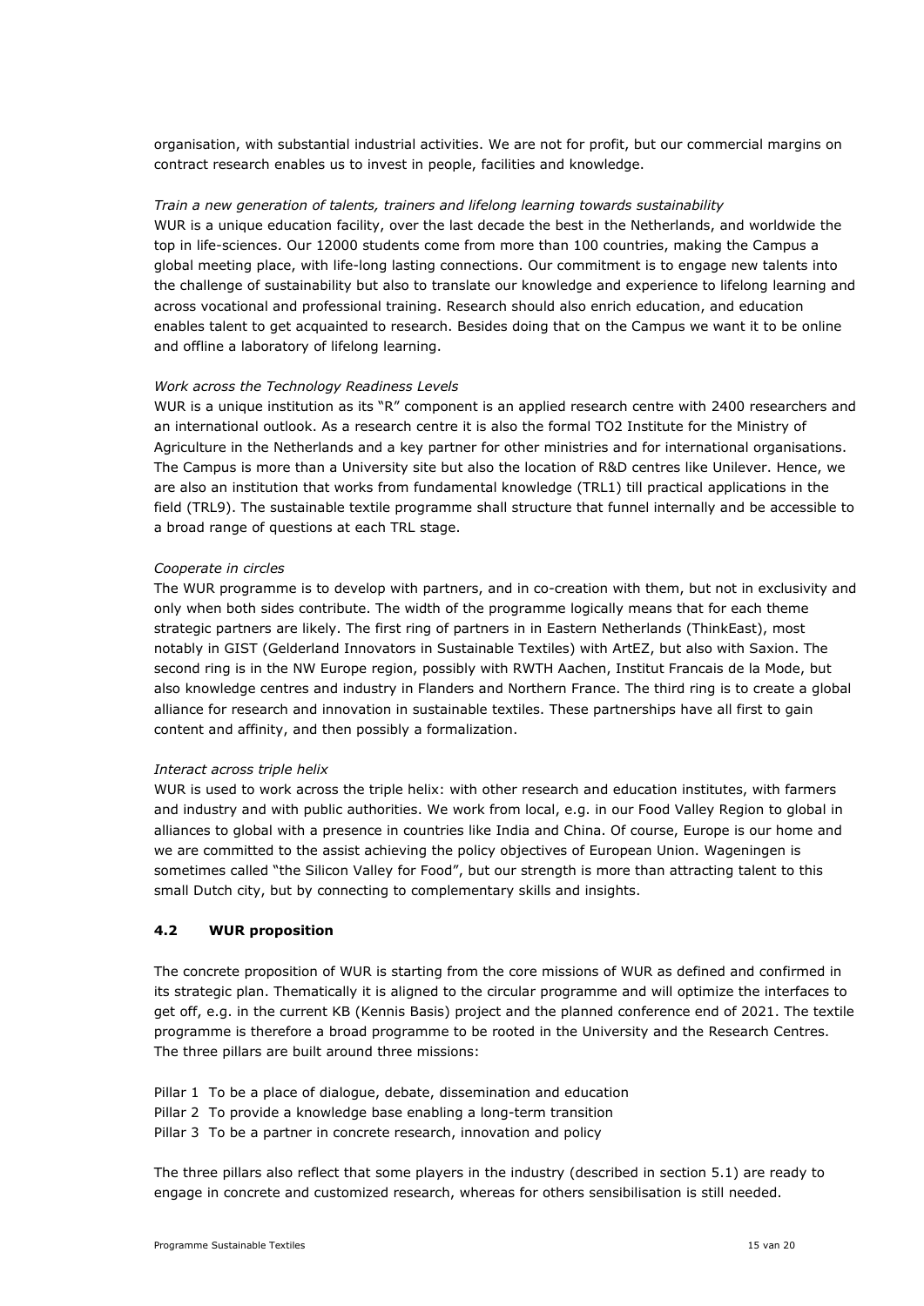organisation, with substantial industrial activities. We are not for profit, but our commercial margins on contract research enables us to invest in people, facilities and knowledge.

#### *Train a new generation of talents, trainers and lifelong learning towards sustainability*

WUR is a unique education facility, over the last decade the best in the Netherlands, and worldwide the top in life-sciences. Our 12000 students come from more than 100 countries, making the Campus a global meeting place, with life-long lasting connections. Our commitment is to engage new talents into the challenge of sustainability but also to translate our knowledge and experience to lifelong learning and across vocational and professional training. Research should also enrich education, and education enables talent to get acquainted to research. Besides doing that on the Campus we want it to be online and offline a laboratory of lifelong learning.

#### *Work across the Technology Readiness Levels*

WUR is a unique institution as its "R" component is an applied research centre with 2400 researchers and an international outlook. As a research centre it is also the formal TO2 Institute for the Ministry of Agriculture in the Netherlands and a key partner for other ministries and for international organisations. The Campus is more than a University site but also the location of R&D centres like Unilever. Hence, we are also an institution that works from fundamental knowledge (TRL1) till practical applications in the field (TRL9). The sustainable textile programme shall structure that funnel internally and be accessible to a broad range of questions at each TRL stage.

#### *Cooperate in circles*

The WUR programme is to develop with partners, and in co-creation with them, but not in exclusivity and only when both sides contribute. The width of the programme logically means that for each theme strategic partners are likely. The first ring of partners in in Eastern Netherlands (ThinkEast), most notably in GIST (Gelderland Innovators in Sustainable Textiles) with ArtEZ, but also with Saxion. The second ring is in the NW Europe region, possibly with RWTH Aachen, Institut Francais de la Mode, but also knowledge centres and industry in Flanders and Northern France. The third ring is to create a global alliance for research and innovation in sustainable textiles. These partnerships have all first to gain content and affinity, and then possibly a formalization.

#### *Interact across triple helix*

WUR is used to work across the triple helix: with other research and education institutes, with farmers and industry and with public authorities. We work from local, e.g. in our Food Valley Region to global in alliances to global with a presence in countries like India and China. Of course, Europe is our home and we are committed to the assist achieving the policy objectives of European Union. Wageningen is sometimes called "the Silicon Valley for Food", but our strength is more than attracting talent to this small Dutch city, but by connecting to complementary skills and insights.

## <span id="page-14-0"></span>**4.2 WUR proposition**

The concrete proposition of WUR is starting from the core missions of WUR as defined and confirmed in its strategic plan. Thematically it is aligned to the circular programme and will optimize the interfaces to get off, e.g. in the current KB (Kennis Basis) project and the planned conference end of 2021. The textile programme is therefore a broad programme to be rooted in the University and the Research Centres. The three pillars are built around three missions:

Pillar 1 To be a place of dialogue, debate, dissemination and education

Pillar 2 To provide a knowledge base enabling a long-term transition

Pillar 3 To be a partner in concrete research, innovation and policy

The three pillars also reflect that some players in the industry (described in section 5.1) are ready to engage in concrete and customized research, whereas for others sensibilisation is still needed.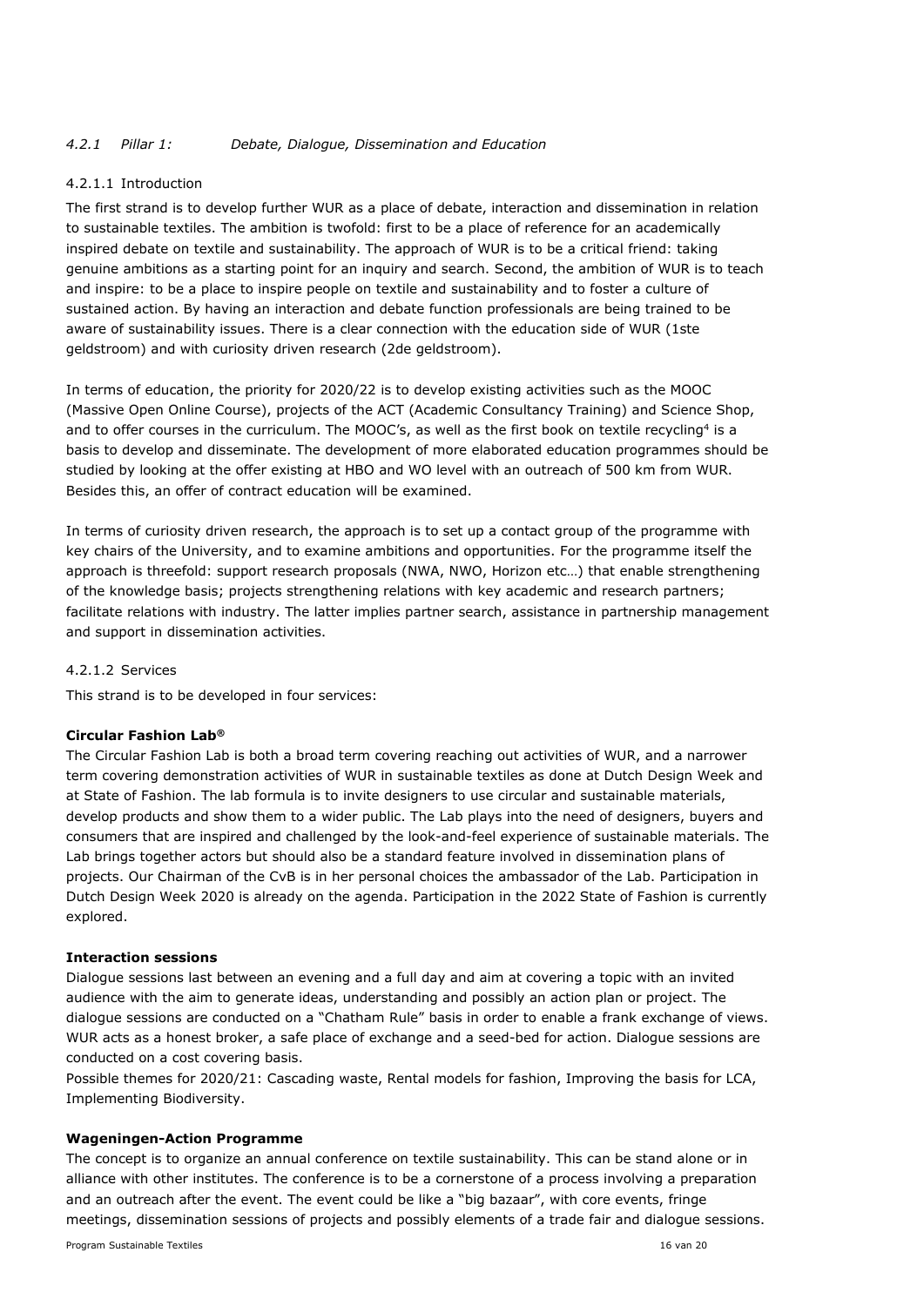## *4.2.1 Pillar 1: Debate, Dialogue, Dissemination and Education*

## 4.2.1.1 Introduction

The first strand is to develop further WUR as a place of debate, interaction and dissemination in relation to sustainable textiles. The ambition is twofold: first to be a place of reference for an academically inspired debate on textile and sustainability. The approach of WUR is to be a critical friend: taking genuine ambitions as a starting point for an inquiry and search. Second, the ambition of WUR is to teach and inspire: to be a place to inspire people on textile and sustainability and to foster a culture of sustained action. By having an interaction and debate function professionals are being trained to be aware of sustainability issues. There is a clear connection with the education side of WUR (1ste geldstroom) and with curiosity driven research (2de geldstroom).

In terms of education, the priority for 2020/22 is to develop existing activities such as the MOOC (Massive Open Online Course), projects of the ACT (Academic Consultancy Training) and Science Shop, and to offer courses in the curriculum. The MOOC's, as well as the first book on textile recycling<sup>4</sup> is a basis to develop and disseminate. The development of more elaborated education programmes should be studied by looking at the offer existing at HBO and WO level with an outreach of 500 km from WUR. Besides this, an offer of contract education will be examined.

In terms of curiosity driven research, the approach is to set up a contact group of the programme with key chairs of the University, and to examine ambitions and opportunities. For the programme itself the approach is threefold: support research proposals (NWA, NWO, Horizon etc…) that enable strengthening of the knowledge basis; projects strengthening relations with key academic and research partners; facilitate relations with industry. The latter implies partner search, assistance in partnership management and support in dissemination activities.

#### 4.2.1.2 Services

This strand is to be developed in four services:

## **Circular Fashion Lab®**

The Circular Fashion Lab is both a broad term covering reaching out activities of WUR, and a narrower term covering demonstration activities of WUR in sustainable textiles as done at Dutch Design Week and at State of Fashion. The lab formula is to invite designers to use circular and sustainable materials, develop products and show them to a wider public. The Lab plays into the need of designers, buyers and consumers that are inspired and challenged by the look-and-feel experience of sustainable materials. The Lab brings together actors but should also be a standard feature involved in dissemination plans of projects. Our Chairman of the CvB is in her personal choices the ambassador of the Lab. Participation in Dutch Design Week 2020 is already on the agenda. Participation in the 2022 State of Fashion is currently explored.

#### **Interaction sessions**

Dialogue sessions last between an evening and a full day and aim at covering a topic with an invited audience with the aim to generate ideas, understanding and possibly an action plan or project. The dialogue sessions are conducted on a "Chatham Rule" basis in order to enable a frank exchange of views. WUR acts as a honest broker, a safe place of exchange and a seed-bed for action. Dialogue sessions are conducted on a cost covering basis.

Possible themes for 2020/21: Cascading waste, Rental models for fashion, Improving the basis for LCA, Implementing Biodiversity.

#### **Wageningen-Action Programme**

The concept is to organize an annual conference on textile sustainability. This can be stand alone or in alliance with other institutes. The conference is to be a cornerstone of a process involving a preparation and an outreach after the event. The event could be like a "big bazaar", with core events, fringe meetings, dissemination sessions of projects and possibly elements of a trade fair and dialogue sessions.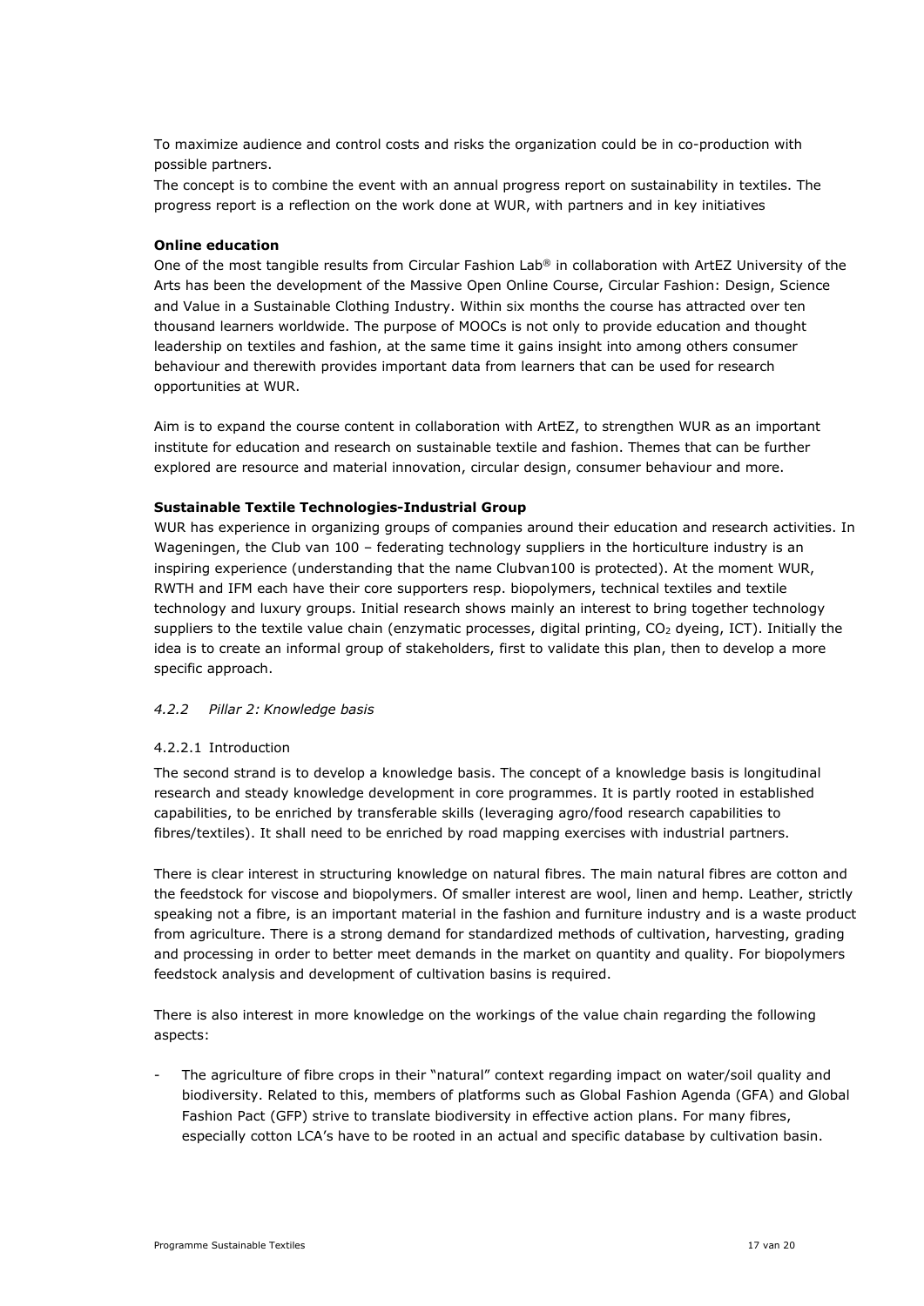To maximize audience and control costs and risks the organization could be in co-production with possible partners.

The concept is to combine the event with an annual progress report on sustainability in textiles. The progress report is a reflection on the work done at WUR, with partners and in key initiatives

#### **Online education**

One of the most tangible results from Circular Fashion Lab® in collaboration with ArtEZ University of the Arts has been the development of the Massive Open Online Course, Circular Fashion: Design, Science and Value in a Sustainable Clothing Industry. Within six months the course has attracted over ten thousand learners worldwide. The purpose of MOOCs is not only to provide education and thought leadership on textiles and fashion, at the same time it gains insight into among others consumer behaviour and therewith provides important data from learners that can be used for research opportunities at WUR.

Aim is to expand the course content in collaboration with ArtEZ, to strengthen WUR as an important institute for education and research on sustainable textile and fashion. Themes that can be further explored are resource and material innovation, circular design, consumer behaviour and more.

#### **Sustainable Textile Technologies-Industrial Group**

WUR has experience in organizing groups of companies around their education and research activities. In Wageningen, the Club van 100 – federating technology suppliers in the horticulture industry is an inspiring experience (understanding that the name Clubvan100 is protected). At the moment WUR, RWTH and IFM each have their core supporters resp. biopolymers, technical textiles and textile technology and luxury groups. Initial research shows mainly an interest to bring together technology suppliers to the textile value chain (enzymatic processes, digital printing, CO<sub>2</sub> dyeing, ICT). Initially the idea is to create an informal group of stakeholders, first to validate this plan, then to develop a more specific approach.

## *4.2.2 Pillar 2: Knowledge basis*

#### 4.2.2.1 Introduction

The second strand is to develop a knowledge basis. The concept of a knowledge basis is longitudinal research and steady knowledge development in core programmes. It is partly rooted in established capabilities, to be enriched by transferable skills (leveraging agro/food research capabilities to fibres/textiles). It shall need to be enriched by road mapping exercises with industrial partners.

There is clear interest in structuring knowledge on natural fibres. The main natural fibres are cotton and the feedstock for viscose and biopolymers. Of smaller interest are wool, linen and hemp. Leather, strictly speaking not a fibre, is an important material in the fashion and furniture industry and is a waste product from agriculture. There is a strong demand for standardized methods of cultivation, harvesting, grading and processing in order to better meet demands in the market on quantity and quality. For biopolymers feedstock analysis and development of cultivation basins is required.

There is also interest in more knowledge on the workings of the value chain regarding the following aspects:

The agriculture of fibre crops in their "natural" context regarding impact on water/soil quality and biodiversity. Related to this, members of platforms such as Global Fashion Agenda (GFA) and Global Fashion Pact (GFP) strive to translate biodiversity in effective action plans. For many fibres, especially cotton LCA's have to be rooted in an actual and specific database by cultivation basin.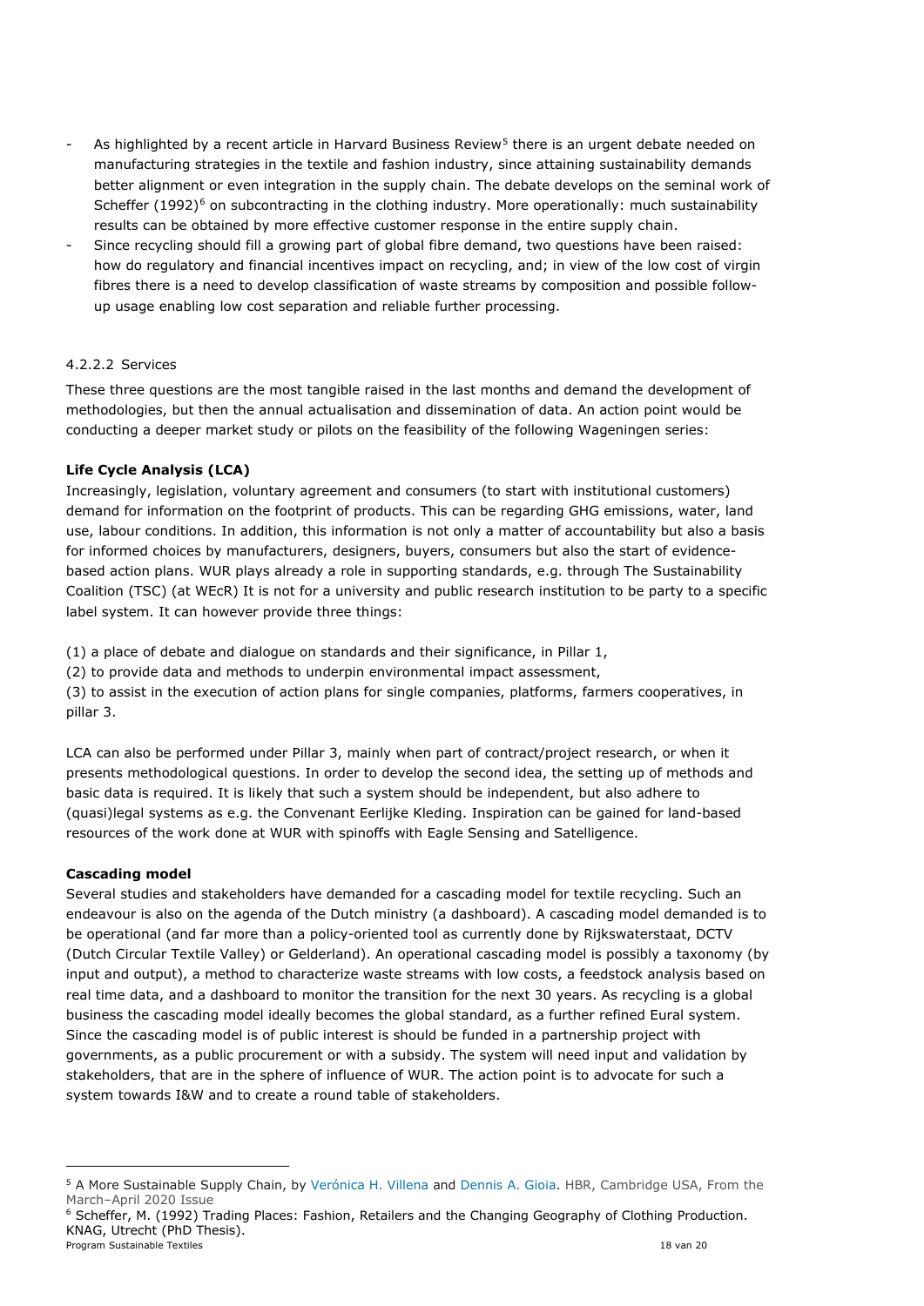- As highlighted by a recent article in Harvard Business Review<sup>[5](#page-17-0)</sup> there is an urgent debate needed on manufacturing strategies in the textile and fashion industry, since attaining sustainability demands better alignment or even integration in the supply chain. The debate develops on the seminal work of Scheffer (1992)<sup>[6](#page-17-1)</sup> on subcontracting in the clothing industry. More operationally: much sustainability results can be obtained by more effective customer response in the entire supply chain.
- Since recycling should fill a growing part of global fibre demand, two questions have been raised: how do regulatory and financial incentives impact on recycling, and; in view of the low cost of virgin fibres there is a need to develop classification of waste streams by composition and possible followup usage enabling low cost separation and reliable further processing.

## 4.2.2.2 Services

These three questions are the most tangible raised in the last months and demand the development of methodologies, but then the annual actualisation and dissemination of data. An action point would be conducting a deeper market study or pilots on the feasibility of the following Wageningen series:

## **Life Cycle Analysis (LCA)**

Increasingly, legislation, voluntary agreement and consumers (to start with institutional customers) demand for information on the footprint of products. This can be regarding GHG emissions, water, land use, labour conditions. In addition, this information is not only a matter of accountability but also a basis for informed choices by manufacturers, designers, buyers, consumers but also the start of evidencebased action plans. WUR plays already a role in supporting standards, e.g. through The Sustainability Coalition (TSC) (at WEcR) It is not for a university and public research institution to be party to a specific label system. It can however provide three things:

(1) a place of debate and dialogue on standards and their significance, in Pillar 1,

(2) to provide data and methods to underpin environmental impact assessment,

(3) to assist in the execution of action plans for single companies, platforms, farmers cooperatives, in pillar 3.

LCA can also be performed under Pillar 3, mainly when part of contract/project research, or when it presents methodological questions. In order to develop the second idea, the setting up of methods and basic data is required. It is likely that such a system should be independent, but also adhere to (quasi)legal systems as e.g. the Convenant Eerlijke Kleding. Inspiration can be gained for land-based resources of the work done at WUR with spinoffs with Eagle Sensing and Satelligence.

## **Cascading model**

Several studies and stakeholders have demanded for a cascading model for textile recycling. Such an endeavour is also on the agenda of the Dutch ministry (a dashboard). A cascading model demanded is to be operational (and far more than a policy-oriented tool as currently done by Rijkswaterstaat, DCTV (Dutch Circular Textile Valley) or Gelderland). An operational cascading model is possibly a taxonomy (by input and output), a method to characterize waste streams with low costs, a feedstock analysis based on real time data, and a dashboard to monitor the transition for the next 30 years. As recycling is a global business the cascading model ideally becomes the global standard, as a further refined Eural system. Since the cascading model is of public interest is should be funded in a partnership project with governments, as a public procurement or with a subsidy. The system will need input and validation by stakeholders, that are in the sphere of influence of WUR. The action point is to advocate for such a system towards I&W and to create a round table of stakeholders.

<span id="page-17-0"></span><sup>5</sup> A More Sustainable Supply Chain, by [Verónica H. Villena](https://hbr.org/search?term=ver%F3nica%20h.%20villena) and [Dennis A. Gioia.](https://hbr.org/search?term=dennis%20a.%20gioia) HBR, Cambridge USA, From the March–April 2020 Issue

<span id="page-17-1"></span>Program Sustainable Textiles 18 van 20 <sup>6</sup> Scheffer, M. (1992) Trading Places: Fashion, Retailers and the Changing Geography of Clothing Production. KNAG, Utrecht (PhD Thesis).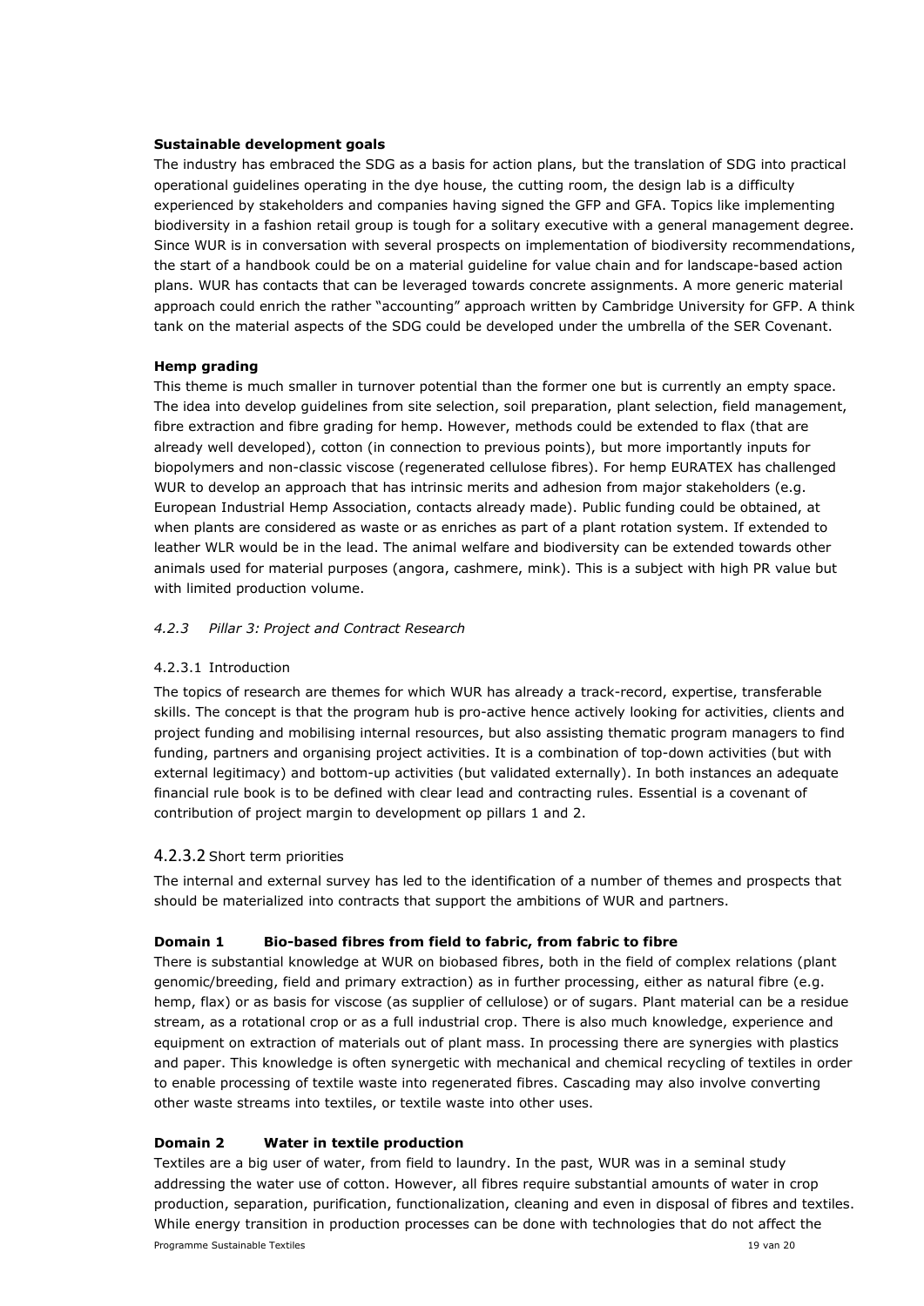#### **Sustainable development goals**

The industry has embraced the SDG as a basis for action plans, but the translation of SDG into practical operational guidelines operating in the dye house, the cutting room, the design lab is a difficulty experienced by stakeholders and companies having signed the GFP and GFA. Topics like implementing biodiversity in a fashion retail group is tough for a solitary executive with a general management degree. Since WUR is in conversation with several prospects on implementation of biodiversity recommendations, the start of a handbook could be on a material guideline for value chain and for landscape-based action plans. WUR has contacts that can be leveraged towards concrete assignments. A more generic material approach could enrich the rather "accounting" approach written by Cambridge University for GFP. A think tank on the material aspects of the SDG could be developed under the umbrella of the SER Covenant.

#### **Hemp grading**

This theme is much smaller in turnover potential than the former one but is currently an empty space. The idea into develop guidelines from site selection, soil preparation, plant selection, field management, fibre extraction and fibre grading for hemp. However, methods could be extended to flax (that are already well developed), cotton (in connection to previous points), but more importantly inputs for biopolymers and non-classic viscose (regenerated cellulose fibres). For hemp EURATEX has challenged WUR to develop an approach that has intrinsic merits and adhesion from major stakeholders (e.g. European Industrial Hemp Association, contacts already made). Public funding could be obtained, at when plants are considered as waste or as enriches as part of a plant rotation system. If extended to leather WLR would be in the lead. The animal welfare and biodiversity can be extended towards other animals used for material purposes (angora, cashmere, mink). This is a subject with high PR value but with limited production volume.

#### *4.2.3 Pillar 3: Project and Contract Research*

## 4.2.3.1 Introduction

The topics of research are themes for which WUR has already a track-record, expertise, transferable skills. The concept is that the program hub is pro-active hence actively looking for activities, clients and project funding and mobilising internal resources, but also assisting thematic program managers to find funding, partners and organising project activities. It is a combination of top-down activities (but with external legitimacy) and bottom-up activities (but validated externally). In both instances an adequate financial rule book is to be defined with clear lead and contracting rules. Essential is a covenant of contribution of project margin to development op pillars 1 and 2.

## 4.2.3.2 Short term priorities

The internal and external survey has led to the identification of a number of themes and prospects that should be materialized into contracts that support the ambitions of WUR and partners.

## **Domain 1 Bio-based fibres from field to fabric, from fabric to fibre**

There is substantial knowledge at WUR on biobased fibres, both in the field of complex relations (plant genomic/breeding, field and primary extraction) as in further processing, either as natural fibre (e.g. hemp, flax) or as basis for viscose (as supplier of cellulose) or of sugars. Plant material can be a residue stream, as a rotational crop or as a full industrial crop. There is also much knowledge, experience and equipment on extraction of materials out of plant mass. In processing there are synergies with plastics and paper. This knowledge is often synergetic with mechanical and chemical recycling of textiles in order to enable processing of textile waste into regenerated fibres. Cascading may also involve converting other waste streams into textiles, or textile waste into other uses.

#### **Domain 2 Water in textile production**

Programme Sustainable Textiles 19 van 20 Textiles are a big user of water, from field to laundry. In the past, WUR was in a seminal study addressing the water use of cotton. However, all fibres require substantial amounts of water in crop production, separation, purification, functionalization, cleaning and even in disposal of fibres and textiles. While energy transition in production processes can be done with technologies that do not affect the